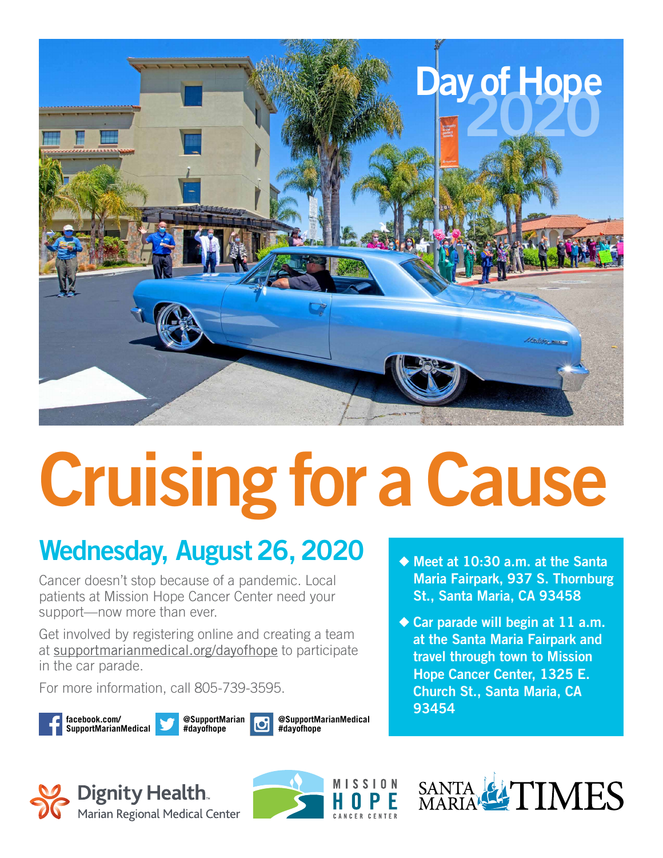

# **Cruising for a Cause**

### **Wednesday, August 26, 2020**

Cancer doesn't stop because of a pandemic. Local patients at Mission Hope Cancer Center need your support—now more than ever.

Get involved by registering online and creating a team at supportmarianmedical.org/dayofhope to participate in the car parade.

For more information, call 805-739-3595.

**facebook.com/ SupportMarianMedical**



**@SupportMarianMedical #dayofhope**





- ◆ **Meet at 10:30 a.m. at the Santa Maria Fairpark, 937 S. Thornburg St., Santa Maria, CA 93458**
- ◆ Car parade will begin at 11 a.m. **at the Santa Maria Fairpark and travel through town to Mission Hope Cancer Center, 1325 E. Church St., Santa Maria, CA 93454**